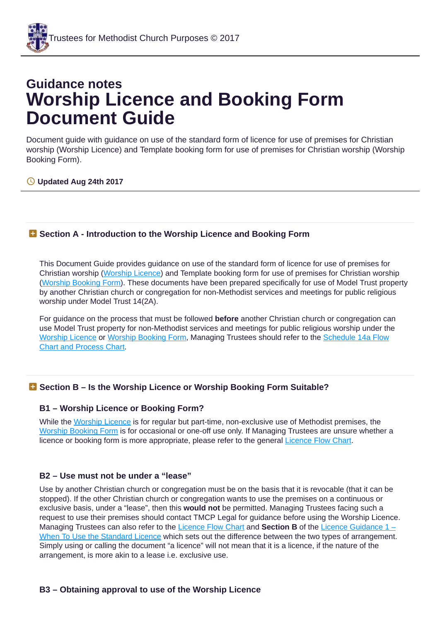# **Guidance notes Worship Licence and Booking Form Document Guide**

Document guide with guidance on use of the standard form of licence for use of premises for Christian worship (Worship Licence) and Template booking form for use of premises for Christian worship (Worship Booking Form).

# **Updated Aug 24th 2017**

# **Section A - Introduction to the Worship Licence and Booking Form**

This Document Guide provides guidance on use of the standard form of licence for use of premises for Christian worship [\(Worship](http://tmcp.org.uk/property/letting-property-and-third-party-use/licences/resources/standard-documents-and-forms/worship-licence) Licence) and Template booking form for use of premises for Christian worship [\(Worship](http://tmcp.org.uk/property/letting-property-and-third-party-use/licences/resources/standard-documents-and-forms/worship-booking-form) Booking Form). These documents have been prepared specifically for use of Model Trust property by another Christian church or congregation for non-Methodist services and meetings for public religious worship under Model Trust 14(2A).

For guidance on the process that must be followed **before** another Christian church or congregation can use Model Trust property for non-Methodist services and meetings for public religious worship under the [Worship](http://tmcp.org.uk/property/letting-property-and-third-party-use/licences/resources/standard-documents-and-forms/worship-licence) Licence or [Worship](http://tmcp.org.uk/property/letting-property-and-third-party-use/licences/resources/standard-documents-and-forms/worship-booking-form) Booking Form, [Managing](http://tmcp.org.uk/property/letting-property-and-third-party-use/licences/resources/guidenotes/14a-flowchart-process) Trustees should refer to the Schedule 14a Flow Chart and Process Chart.

# **Section B – Is the Worship Licence or Worship Booking Form Suitable?**

## **B1 – Worship Licence or Booking Form?**

While the [Worship](http://tmcp.org.uk/property/letting-property-and-third-party-use/licences/resources/standard-documents-and-forms/worship-licence) Licence is for regular but part-time, non-exclusive use of Methodist premises, the Worship [Booking](http://tmcp.org.uk/property/letting-property-and-third-party-use/licences/resources/standard-documents-and-forms/worship-booking-form) Form is for occasional or one-off use only. If Managing Trustees are unsure whether a licence or booking form is more appropriate, please refer to the general [Licence](http://tmcp.org.uk/property/letting-property-and-third-party-use/licences/resources/standard-documents-and-forms/licence-flow-chart) Flow Chart.

## **B2 – Use must not be under a "lease"**

Use by another Christian church or congregation must be on the basis that it is revocable (that it can be stopped). If the other Christian church or congregation wants to use the premises on a continuous or exclusive basis, under a "lease", then this **would not** be permitted. Managing Trustees facing such a request to use their premises should contact TMCP Legal for guidance before using the Worship Licence. Managing Trustees can also refer to the [Licence](http://tmcp.org.uk/property/letting-property-and-third-party-use/licences/resources/standard-documents-and-forms/licence-flow-chart) Flow Chart and **Section B** of the Licence Guidance 1 – When To Use the Standard Licence which sets out the difference between the two types of [arrangement.](http://tmcp.org.uk/property/letting-property-and-third-party-use/licences/resources/guidenotes/gn-licence-guidance-part-1-when-to-use-the-standard-licence#B) Simply using or calling the document "a licence" will not mean that it is a licence, if the nature of the arrangement, is more akin to a lease i.e. exclusive use.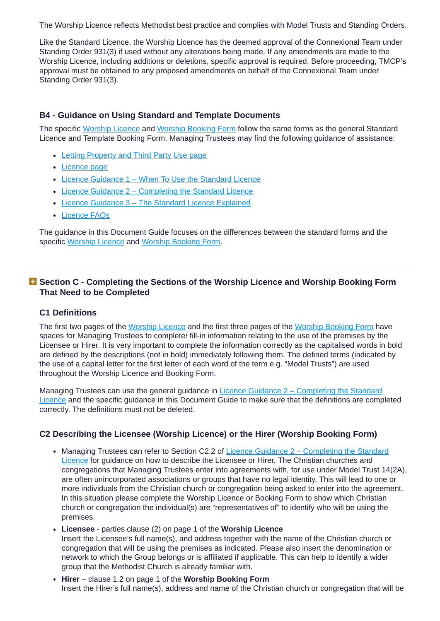The Worship Licence reflects Methodist best practice and complies with Model Trusts and Standing Orders.

Like the Standard Licence, the Worship Licence has the deemed approval of the Connexional Team under Standing Order 931(3) if used without any alterations being made. If any amendments are made to the Worship Licence, including additions or deletions, specific approval is required. Before proceeding, TMCP's approval must be obtained to any proposed amendments on behalf of the Connexional Team under Standing Order 931(3).

## **B4 - Guidance on Using Standard and Template Documents**

The specific [Worship](http://tmcp.org.uk/property/letting-property-and-third-party-use/licences/resources/standard-documents-and-forms/worship-licence) Licence and [Worship](http://tmcp.org.uk/property/letting-property-and-third-party-use/licences/resources/standard-documents-and-forms/worship-booking-form) Booking Form follow the same forms as the general Standard Licence and Template Booking Form. Managing Trustees may find the following guidance of assistance:

- Letting [Property](http://tmcp.org.uk/property/letting-property-and-third-party-use) and Third Party Use page
- [Licence](http://tmcp.org.uk/property/letting-property-and-third-party-use/licences) page
- Licence [Guidance](http://tmcp.org.uk/property/letting-property-and-third-party-use/licences/resources/guidenotes/gn-licence-guidance-part-1-when-to-use-the-standard-licence) 1 When To Use the Standard Licence
- Licence Guidance 2 [Completing](http://tmcp.org.uk/property/letting-property-and-third-party-use/licences/resources/guidenotes/gn-licence-guidance-part-2-completing-the-standard-licence) the Standard Licence
- Licence Guidance 3 The Standard Licence [Explained](http://tmcp.org.uk/property/letting-property-and-third-party-use/licences/resources/guidenotes/gn-licence-guidance-part3-the-standard-licence-explained)
- [Licence](http://tmcp.org.uk/property/letting-property-and-third-party-use/licences/resources/faq) FAQs

The guidance in this Document Guide focuses on the differences between the standard forms and the specific [Worship](http://tmcp.org.uk/property/letting-property-and-third-party-use/licences/resources/standard-documents-and-forms/worship-licence) Licence and [Worship](http://tmcp.org.uk/property/letting-property-and-third-party-use/licences/resources/standard-documents-and-forms/worship-booking-form) Booking Form.

# **Section C - Completing the Sections of the Worship Licence and Worship Booking Form That Need to be Completed**

## **C1 Definitions**

The first two pages of the [Worship](http://tmcp.org.uk/property/letting-property-and-third-party-use/licences/resources/standard-documents-and-forms/worship-booking-form) Licence and the first three pages of the Worship Booking Form have spaces for Managing Trustees to complete/ fill-in information relating to the use of the premises by the Licensee or Hirer. It is very important to complete the information correctly as the capitalised words in bold are defined by the descriptions (not in bold) immediately following them. The defined terms (indicated by the use of a capital letter for the first letter of each word of the term e.g. "Model Trusts") are used throughout the Worship Licence and Booking Form.

Managing Trustees can use the general guidance in Licence Guidance 2 – [Completing](http://tmcp.org.uk/property/letting-property-and-third-party-use/licences/resources/guidenotes/gn-licence-guidance-part-2-completing-the-standard-licence) the Standard Licence and the specific guidance in this Document Guide to make sure that the definitions are completed correctly. The definitions must not be deleted.

## **C2 Describing the Licensee (Worship Licence) or the Hirer (Worship Booking Form)**

- Managing Trustees can refer to Section C2.2 of Licence Guidance  $2 -$  [Completing](http://tmcp.org.uk/property/letting-property-and-third-party-use/licences/resources/guidenotes/gn-licence-guidance-part-2-completing-the-standard-licence) the Standard Licence for guidance on how to describe the Licensee or Hirer. The Christian churches and congregations that Managing Trustees enter into agreements with, for use under Model Trust 14(2A), are often unincorporated associations or groups that have no legal identity. This will lead to one or more individuals from the Christian church or congregation being asked to enter into the agreement. In this situation please complete the Worship Licence or Booking Form to show which Christian church or congregation the individual(s) are "representatives of" to identify who will be using the premises.
- **Licensee** parties clause (2) on page 1 of the **Worship Licence** Insert the Licensee's full name(s), and address together with the name of the Christian church or congregation that will be using the premises as indicated. Please also insert the denomination or network to which the Group belongs or is affiliated if applicable. This can help to identify a wider group that the Methodist Church is already familiar with.
- **Hirer** clause 1.2 on page 1 of the **Worship Booking Form** Insert the Hirer's full name(s), address and name of the Christian church or congregation that will be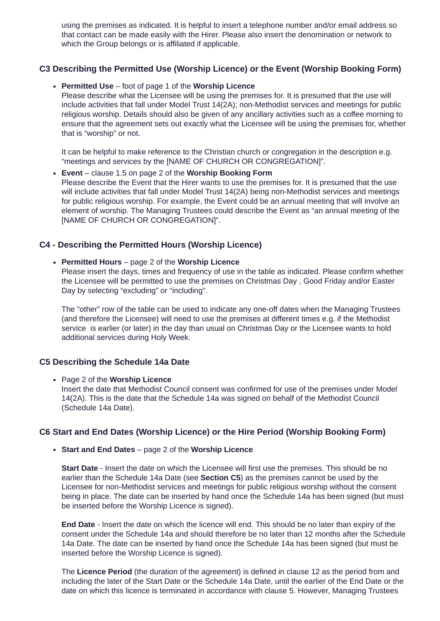using the premises as indicated. It is helpful to insert a telephone number and/or email address so that contact can be made easily with the Hirer. Please also insert the denomination or network to which the Group belongs or is affiliated if applicable.

# **C3 Describing the Permitted Use (Worship Licence) or the Event (Worship Booking Form)**

#### **Permitted Use** – foot of page 1 of the **Worship Licence**

Please describe what the Licensee will be using the premises for. It is presumed that the use will include activities that fall under Model Trust 14(2A); non-Methodist services and meetings for public religious worship. Details should also be given of any ancillary activities such as a coffee morning to ensure that the agreement sets out exactly what the Licensee will be using the premises for, whether that is "worship" or not.

It can be helpful to make reference to the Christian church or congregation in the description e.g. "meetings and services by the [NAME OF CHURCH OR CONGREGATION]".

**Event** – clause 1.5 on page 2 of the **Worship Booking Form** Please describe the Event that the Hirer wants to use the premises for. It is presumed that the use will include activities that fall under Model Trust 14(2A) being non-Methodist services and meetings for public religious worship. For example, the Event could be an annual meeting that will involve an element of worship. The Managing Trustees could describe the Event as "an annual meeting of the [NAME OF CHURCH OR CONGREGATION]".

## **C4 - Describing the Permitted Hours (Worship Licence)**

#### **Permitted Hours** – page 2 of the **Worship Licence**

Please insert the days, times and frequency of use in the table as indicated. Please confirm whether the Licensee will be permitted to use the premises on Christmas Day , Good Friday and/or Easter Day by selecting "excluding" or "including".

The "other" row of the table can be used to indicate any one-off dates when the Managing Trustees (and therefore the Licensee) will need to use the premises at different times e.g. if the Methodist service is earlier (or later) in the day than usual on Christmas Day or the Licensee wants to hold additional services during Holy Week.

#### **C5 Describing the Schedule 14a Date**

Page 2 of the **Worship Licence**

Insert the date that Methodist Council consent was confirmed for use of the premises under Model 14(2A). This is the date that the Schedule 14a was signed on behalf of the Methodist Council (Schedule 14a Date).

## **C6 Start and End Dates (Worship Licence) or the Hire Period (Worship Booking Form)**

**Start and End Dates** – page 2 of the **Worship Licence**

**Start Date** - Insert the date on which the Licensee will first use the premises. This should be no earlier than the Schedule 14a Date (see **Section C5**) as the premises cannot be used by the Licensee for non-Methodist services and meetings for public religious worship without the consent being in place. The date can be inserted by hand once the Schedule 14a has been signed (but must be inserted before the Worship Licence is signed).

**End Date** - Insert the date on which the licence will end. This should be no later than expiry of the consent under the Schedule 14a and should therefore be no later than 12 months after the Schedule 14a Date. The date can be inserted by hand once the Schedule 14a has been signed (but must be inserted before the Worship Licence is signed).

The **Licence Period** (the duration of the agreement) is defined in clause 12 as the period from and including the later of the Start Date or the Schedule 14a Date, until the earlier of the End Date or the date on which this licence is terminated in accordance with clause 5. However, Managing Trustees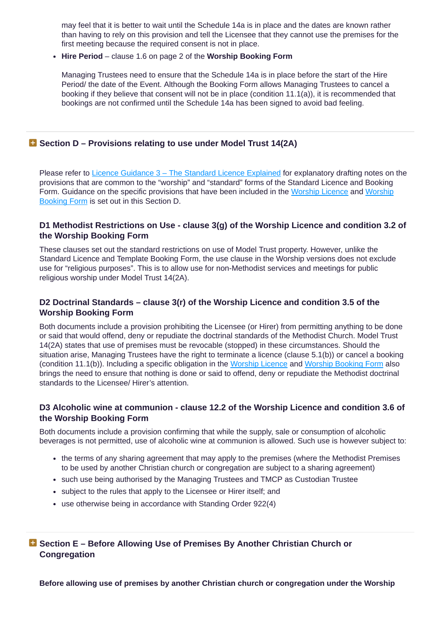may feel that it is better to wait until the Schedule 14a is in place and the dates are known rather than having to rely on this provision and tell the Licensee that they cannot use the premises for the first meeting because the required consent is not in place.

**Hire Period** – clause 1.6 on page 2 of the **Worship Booking Form**

Managing Trustees need to ensure that the Schedule 14a is in place before the start of the Hire Period/ the date of the Event. Although the Booking Form allows Managing Trustees to cancel a booking if they believe that consent will not be in place (condition 11.1(a)), it is recommended that bookings are not confirmed until the Schedule 14a has been signed to avoid bad feeling.

# **Section D – Provisions relating to use under Model Trust 14(2A)**

Please refer to Licence Guidance 3 – The Standard Licence [Explained](http://tmcp.org.uk/property/letting-property-and-third-party-use/licences/resources/guidenotes/gn-licence-guidance-part3-the-standard-licence-explained) for explanatory drafting notes on the provisions that are common to the "worship" and "standard" forms of the Standard Licence and Booking Form. Guidance on the specific [provisions](http://tmcp.org.uk/property/letting-property-and-third-party-use/licences/resources/standard-documents-and-forms/worship-booking-form) that have been included in the [Worship](http://tmcp.org.uk/property/letting-property-and-third-party-use/licences/resources/standard-documents-and-forms/worship-licence) Licence and Worship Booking Form is set out in this Section D.

# **D1 Methodist Restrictions on Use - clause 3(g) of the Worship Licence and condition 3.2 of the Worship Booking Form**

These clauses set out the standard restrictions on use of Model Trust property. However, unlike the Standard Licence and Template Booking Form, the use clause in the Worship versions does not exclude use for "religious purposes". This is to allow use for non-Methodist services and meetings for public religious worship under Model Trust 14(2A).

# **D2 Doctrinal Standards – clause 3(r) of the Worship Licence and condition 3.5 of the Worship Booking Form**

Both documents include a provision prohibiting the Licensee (or Hirer) from permitting anything to be done or said that would offend, deny or repudiate the doctrinal standards of the Methodist Church. Model Trust 14(2A) states that use of premises must be revocable (stopped) in these circumstances. Should the situation arise, Managing Trustees have the right to terminate a licence (clause 5.1(b)) or cancel a booking (condition 11.1(b)). Including a specific obligation in the [Worship](http://tmcp.org.uk/property/letting-property-and-third-party-use/licences/resources/standard-documents-and-forms/worship-licence) Licence and Worship [Booking](http://tmcp.org.uk/property/letting-property-and-third-party-use/licences/resources/standard-documents-and-forms/worship-booking-form) Form also brings the need to ensure that nothing is done or said to offend, deny or repudiate the Methodist doctrinal standards to the Licensee/ Hirer's attention.

# **D3 Alcoholic wine at communion - clause 12.2 of the Worship Licence and condition 3.6 of the Worship Booking Form**

Both documents include a provision confirming that while the supply, sale or consumption of alcoholic beverages is not permitted, use of alcoholic wine at communion is allowed. Such use is however subject to:

- the terms of any sharing agreement that may apply to the premises (where the Methodist Premises to be used by another Christian church or congregation are subject to a sharing agreement)
- such use being authorised by the Managing Trustees and TMCP as Custodian Trustee
- subject to the rules that apply to the Licensee or Hirer itself; and
- use otherwise being in accordance with Standing Order 922(4)

**Section E – Before Allowing Use of Premises By Another Christian Church or Congregation**